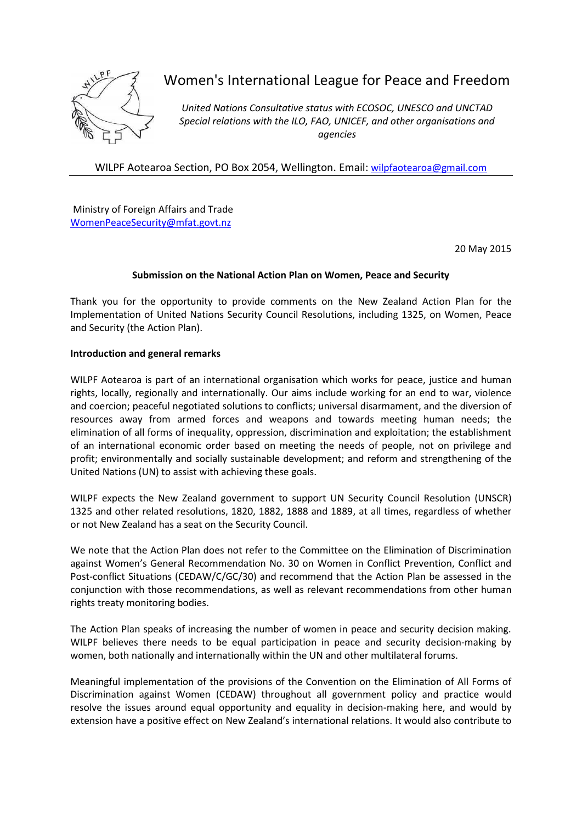

# Women's International League for Peace and Freedom

*United Nations Consultative status with ECOSOC, UNESCO and UNCTAD Special relations with the ILO, FAO, UNICEF, and other organisations and agencies*

WILPF Aotearoa Section, PO Box 2054, Wellington. Email: [wilpfaotearoa@gmail.com](mailto:wilpfaotearoa@gmail.com)

Ministry of Foreign Affairs and Trade [WomenPeaceSecurity@mfat.govt.nz](mailto:WomenPeaceSecurity@mfat.govt.nz)

20 May 2015

## **Submission on the National Action Plan on Women, Peace and Security**

Thank you for the opportunity to provide comments on the New Zealand Action Plan for the Implementation of United Nations Security Council Resolutions, including 1325, on Women, Peace and Security (the Action Plan).

## **Introduction and general remarks**

WILPF Aotearoa is part of an international organisation which works for peace, justice and human rights, locally, regionally and internationally. Our aims include working for an end to war, violence and coercion; peaceful negotiated solutions to conflicts; universal disarmament, and the diversion of resources away from armed forces and weapons and towards meeting human needs; the elimination of all forms of inequality, oppression, discrimination and exploitation; the establishment of an international economic order based on meeting the needs of people, not on privilege and profit; environmentally and socially sustainable development; and reform and strengthening of the United Nations (UN) to assist with achieving these goals.

WILPF expects the New Zealand government to support UN Security Council Resolution (UNSCR) 1325 and other related resolutions, 1820, 1882, 1888 and 1889, at all times, regardless of whether or not New Zealand has a seat on the Security Council.

We note that the Action Plan does not refer to the Committee on the Elimination of Discrimination against Women's General Recommendation No. 30 on Women in Conflict Prevention, Conflict and Post-conflict Situations (CEDAW/C/GC/30) and recommend that the Action Plan be assessed in the conjunction with those recommendations, as well as relevant recommendations from other human rights treaty monitoring bodies.

The Action Plan speaks of increasing the number of women in peace and security decision making. WILPF believes there needs to be equal participation in peace and security decision-making by women, both nationally and internationally within the UN and other multilateral forums.

Meaningful implementation of the provisions of the Convention on the Elimination of All Forms of Discrimination against Women (CEDAW) throughout all government policy and practice would resolve the issues around equal opportunity and equality in decision-making here, and would by extension have a positive effect on New Zealand's international relations. It would also contribute to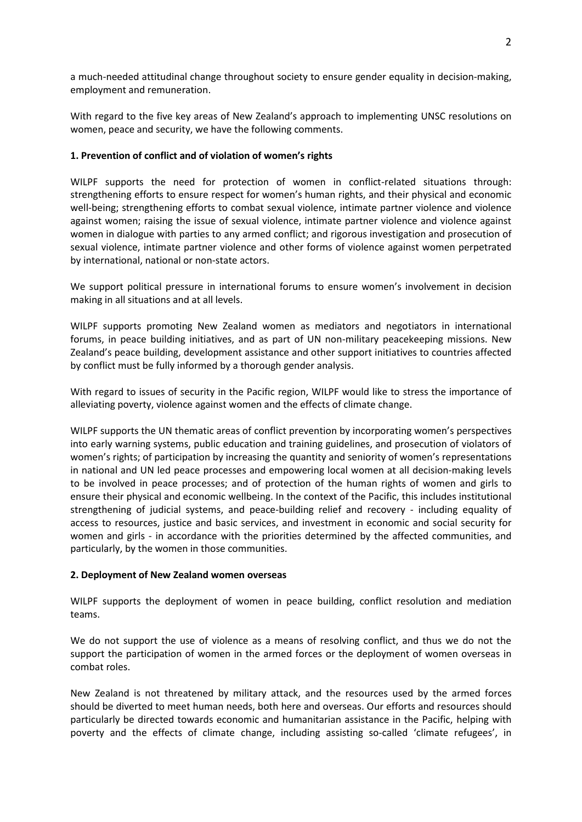a much-needed attitudinal change throughout society to ensure gender equality in decision-making, employment and remuneration.

With regard to the five key areas of New Zealand's approach to implementing UNSC resolutions on women, peace and security, we have the following comments.

## **1. Prevention of conflict and of violation of women's rights**

WILPF supports the need for protection of women in conflict-related situations through: strengthening efforts to ensure respect for women's human rights, and their physical and economic well-being; strengthening efforts to combat sexual violence, intimate partner violence and violence against women; raising the issue of sexual violence, intimate partner violence and violence against women in dialogue with parties to any armed conflict; and rigorous investigation and prosecution of sexual violence, intimate partner violence and other forms of violence against women perpetrated by international, national or non-state actors.

We support political pressure in international forums to ensure women's involvement in decision making in all situations and at all levels.

WILPF supports promoting New Zealand women as mediators and negotiators in international forums, in peace building initiatives, and as part of UN non-military peacekeeping missions. New Zealand's peace building, development assistance and other support initiatives to countries affected by conflict must be fully informed by a thorough gender analysis.

With regard to issues of security in the Pacific region, WILPF would like to stress the importance of alleviating poverty, violence against women and the effects of climate change.

WILPF supports the UN thematic areas of conflict prevention by incorporating women's perspectives into early warning systems, public education and training guidelines, and prosecution of violators of women's rights; of participation by increasing the quantity and seniority of women's representations in national and UN led peace processes and empowering local women at all decision-making levels to be involved in peace processes; and of protection of the human rights of women and girls to ensure their physical and economic wellbeing. In the context of the Pacific, this includes institutional strengthening of judicial systems, and peace-building relief and recovery - including equality of access to resources, justice and basic services, and investment in economic and social security for women and girls - in accordance with the priorities determined by the affected communities, and particularly, by the women in those communities.

## **2. Deployment of New Zealand women overseas**

WILPF supports the deployment of women in peace building, conflict resolution and mediation teams.

We do not support the use of violence as a means of resolving conflict, and thus we do not the support the participation of women in the armed forces or the deployment of women overseas in combat roles.

New Zealand is not threatened by military attack, and the resources used by the armed forces should be diverted to meet human needs, both here and overseas. Our efforts and resources should particularly be directed towards economic and humanitarian assistance in the Pacific, helping with poverty and the effects of climate change, including assisting so-called 'climate refugees', in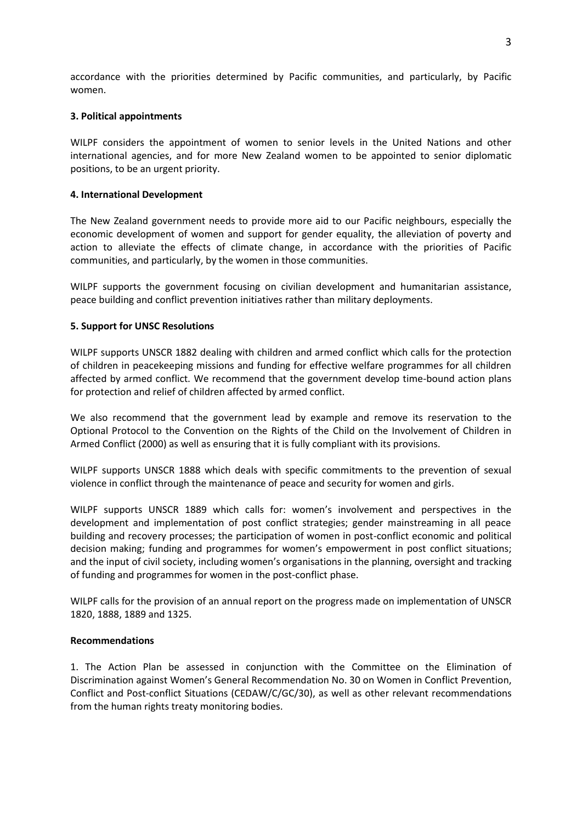accordance with the priorities determined by Pacific communities, and particularly, by Pacific women.

#### **3. Political appointments**

WILPF considers the appointment of women to senior levels in the United Nations and other international agencies, and for more New Zealand women to be appointed to senior diplomatic positions, to be an urgent priority.

#### **4. International Development**

The New Zealand government needs to provide more aid to our Pacific neighbours, especially the economic development of women and support for gender equality, the alleviation of poverty and action to alleviate the effects of climate change, in accordance with the priorities of Pacific communities, and particularly, by the women in those communities.

WILPF supports the government focusing on civilian development and humanitarian assistance, peace building and conflict prevention initiatives rather than military deployments.

#### **5. Support for UNSC Resolutions**

WILPF supports UNSCR 1882 dealing with children and armed conflict which calls for the protection of children in peacekeeping missions and funding for effective welfare programmes for all children affected by armed conflict. We recommend that the government develop time-bound action plans for protection and relief of children affected by armed conflict.

We also recommend that the government lead by example and remove its reservation to the Optional Protocol to the Convention on the Rights of the Child on the Involvement of Children in Armed Conflict (2000) as well as ensuring that it is fully compliant with its provisions.

WILPF supports UNSCR 1888 which deals with specific commitments to the prevention of sexual violence in conflict through the maintenance of peace and security for women and girls.

WILPF supports UNSCR 1889 which calls for: women's involvement and perspectives in the development and implementation of post conflict strategies; gender mainstreaming in all peace building and recovery processes; the participation of women in post-conflict economic and political decision making; funding and programmes for women's empowerment in post conflict situations; and the input of civil society, including women's organisations in the planning, oversight and tracking of funding and programmes for women in the post-conflict phase.

WILPF calls for the provision of an annual report on the progress made on implementation of UNSCR 1820, 1888, 1889 and 1325.

#### **Recommendations**

1. The Action Plan be assessed in conjunction with the Committee on the Elimination of Discrimination against Women's General Recommendation No. 30 on Women in Conflict Prevention, Conflict and Post-conflict Situations (CEDAW/C/GC/30), as well as other relevant recommendations from the human rights treaty monitoring bodies.